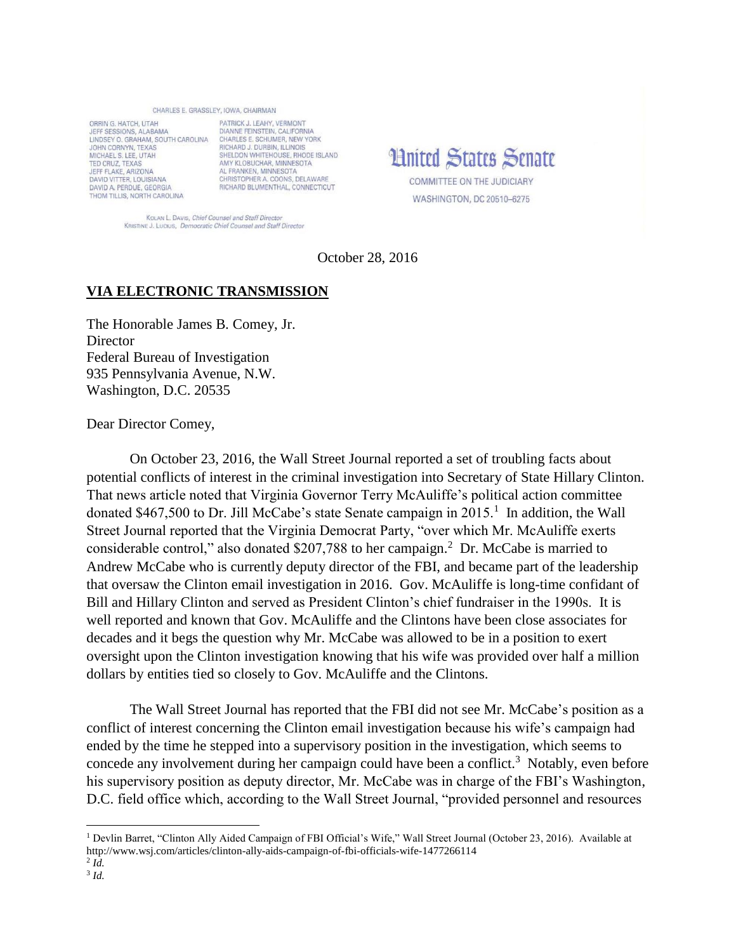## CHARLES E. GRASSLEY, IOWA, CHAIRMAN

ORRIN G. HATCH, UTAH JEFF SESSIONS, ALABAMA LINDSEY O. GRAHAM, SOUTH CAROLINA JOHN CORNYN, TEXAS MICHAEL S. LEE, UTAH TED CRUZ TEXAS JEFF FLAKE, ARIZONA **DAVID VITTER, LOUISIANA** DAVID A. PERDUE, GEORGIA THOM TILLIS, NORTH CAROLINA

PATRICK J. LEAHY, VERMONT DIANNE FEINSTEIN, CALIFORNIA CHARLES E, SCHUMER, NEW YORK RICHARD J. DURBIN, ILLINOIS SHELDON WHITEHOUSE, RHODE ISLAND<br>AMY KLOBUCHAR, MINNESOTA AL FRANKEN, MINNESOTA CHRISTOPHER A. COONS, DELAWARE RICHARD BLUMENTHAL, CONNECTICUT

**Limited States Senate COMMITTEE ON THE JUDICIARY** 

WASHINGTON, DC 20510-6275

KOLAN L. DAVIS, Chief Counsel and Staff Director KRISTINE J. Lucius, Democratic Chief Counsel and Staff Director

October 28, 2016

## **VIA ELECTRONIC TRANSMISSION**

The Honorable James B. Comey, Jr. **Director** Federal Bureau of Investigation 935 Pennsylvania Avenue, N.W. Washington, D.C. 20535

Dear Director Comey,

On October 23, 2016, the Wall Street Journal reported a set of troubling facts about potential conflicts of interest in the criminal investigation into Secretary of State Hillary Clinton. That news article noted that Virginia Governor Terry McAuliffe's political action committee donated \$467,500 to Dr. Jill McCabe's state Senate campaign in  $2015$ <sup>1</sup>. In addition, the Wall Street Journal reported that the Virginia Democrat Party, "over which Mr. McAuliffe exerts considerable control," also donated \$207,788 to her campaign.<sup>2</sup> Dr. McCabe is married to Andrew McCabe who is currently deputy director of the FBI, and became part of the leadership that oversaw the Clinton email investigation in 2016. Gov. McAuliffe is long-time confidant of Bill and Hillary Clinton and served as President Clinton's chief fundraiser in the 1990s. It is well reported and known that Gov. McAuliffe and the Clintons have been close associates for decades and it begs the question why Mr. McCabe was allowed to be in a position to exert oversight upon the Clinton investigation knowing that his wife was provided over half a million dollars by entities tied so closely to Gov. McAuliffe and the Clintons.

The Wall Street Journal has reported that the FBI did not see Mr. McCabe's position as a conflict of interest concerning the Clinton email investigation because his wife's campaign had ended by the time he stepped into a supervisory position in the investigation, which seems to concede any involvement during her campaign could have been a conflict.<sup>3</sup> Notably, even before his supervisory position as deputy director, Mr. McCabe was in charge of the FBI's Washington, D.C. field office which, according to the Wall Street Journal, "provided personnel and resources

 $\overline{a}$ 

<sup>&</sup>lt;sup>1</sup> Devlin Barret, "Clinton Ally Aided Campaign of FBI Official's Wife," Wall Street Journal (October 23, 2016). Available at http://www.wsj.com/articles/clinton-ally-aids-campaign-of-fbi-officials-wife-1477266114

<sup>2</sup> *Id.* 

<sup>3</sup> *Id.*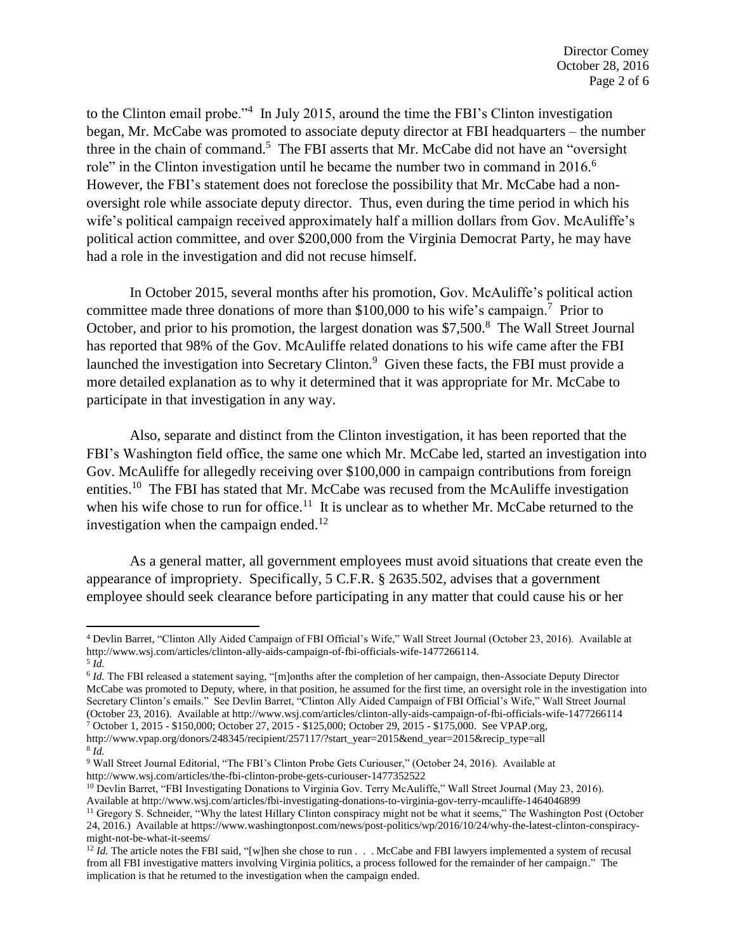to the Clinton email probe.<sup>24</sup> In July 2015, around the time the FBI's Clinton investigation began, Mr. McCabe was promoted to associate deputy director at FBI headquarters – the number three in the chain of command.<sup>5</sup> The FBI asserts that Mr. McCabe did not have an "oversight role" in the Clinton investigation until he became the number two in command in 2016.<sup>6</sup> However, the FBI's statement does not foreclose the possibility that Mr. McCabe had a nonoversight role while associate deputy director. Thus, even during the time period in which his wife's political campaign received approximately half a million dollars from Gov. McAuliffe's political action committee, and over \$200,000 from the Virginia Democrat Party, he may have had a role in the investigation and did not recuse himself.

In October 2015, several months after his promotion, Gov. McAuliffe's political action committee made three donations of more than \$100,000 to his wife's campaign.<sup>7</sup> Prior to October, and prior to his promotion, the largest donation was \$7,500.<sup>8</sup> The Wall Street Journal has reported that 98% of the Gov. McAuliffe related donations to his wife came after the FBI launched the investigation into Secretary Clinton.<sup>9</sup> Given these facts, the FBI must provide a more detailed explanation as to why it determined that it was appropriate for Mr. McCabe to participate in that investigation in any way.

Also, separate and distinct from the Clinton investigation, it has been reported that the FBI's Washington field office, the same one which Mr. McCabe led, started an investigation into Gov. McAuliffe for allegedly receiving over \$100,000 in campaign contributions from foreign entities.<sup>10</sup> The FBI has stated that Mr. McCabe was recused from the McAuliffe investigation when his wife chose to run for office.<sup>11</sup> It is unclear as to whether Mr. McCabe returned to the investigation when the campaign ended.<sup>12</sup>

As a general matter, all government employees must avoid situations that create even the appearance of impropriety. Specifically, 5 C.F.R. § 2635.502, advises that a government employee should seek clearance before participating in any matter that could cause his or her

l

<sup>4</sup> Devlin Barret, "Clinton Ally Aided Campaign of FBI Official's Wife," Wall Street Journal (October 23, 2016). Available at http://www.wsj.com/articles/clinton-ally-aids-campaign-of-fbi-officials-wife-1477266114.

<sup>5</sup> *Id.* 

<sup>&</sup>lt;sup>6</sup> *Id.* The FBI released a statement saying, "[m]onths after the completion of her campaign, then-Associate Deputy Director McCabe was promoted to Deputy, where, in that position, he assumed for the first time, an oversight role in the investigation into Secretary Clinton's emails." See Devlin Barret, "Clinton Ally Aided Campaign of FBI Official's Wife," Wall Street Journal (October 23, 2016). Available at http://www.wsj.com/articles/clinton-ally-aids-campaign-of-fbi-officials-wife-1477266114

<sup>7</sup> October 1, 2015 - \$150,000; October 27, 2015 - \$125,000; October 29, 2015 - \$175,000. See VPAP.org, http://www.vpap.org/donors/248345/recipient/257117/?start\_year=2015&end\_year=2015&recip\_type=all 8 *Id.* 

<sup>9</sup> Wall Street Journal Editorial, "The FBI's Clinton Probe Gets Curiouser," (October 24, 2016). Available at http://www.wsj.com/articles/the-fbi-clinton-probe-gets-curiouser-1477352522

<sup>&</sup>lt;sup>10</sup> Devlin Barret, "FBI Investigating Donations to Virginia Gov. Terry McAuliffe," Wall Street Journal (May 23, 2016). Available at http://www.wsj.com/articles/fbi-investigating-donations-to-virginia-gov-terry-mcauliffe-1464046899

<sup>&</sup>lt;sup>11</sup> Gregory S. Schneider, "Why the latest Hillary Clinton conspiracy might not be what it seems," The Washington Post (October 24, 2016.) Available at https://www.washingtonpost.com/news/post-politics/wp/2016/10/24/why-the-latest-clinton-conspiracymight-not-be-what-it-seems/

<sup>&</sup>lt;sup>12</sup> *Id.* The article notes the FBI said, "[w]hen she chose to run . . . McCabe and FBI lawyers implemented a system of recusal from all FBI investigative matters involving Virginia politics, a process followed for the remainder of her campaign." The implication is that he returned to the investigation when the campaign ended.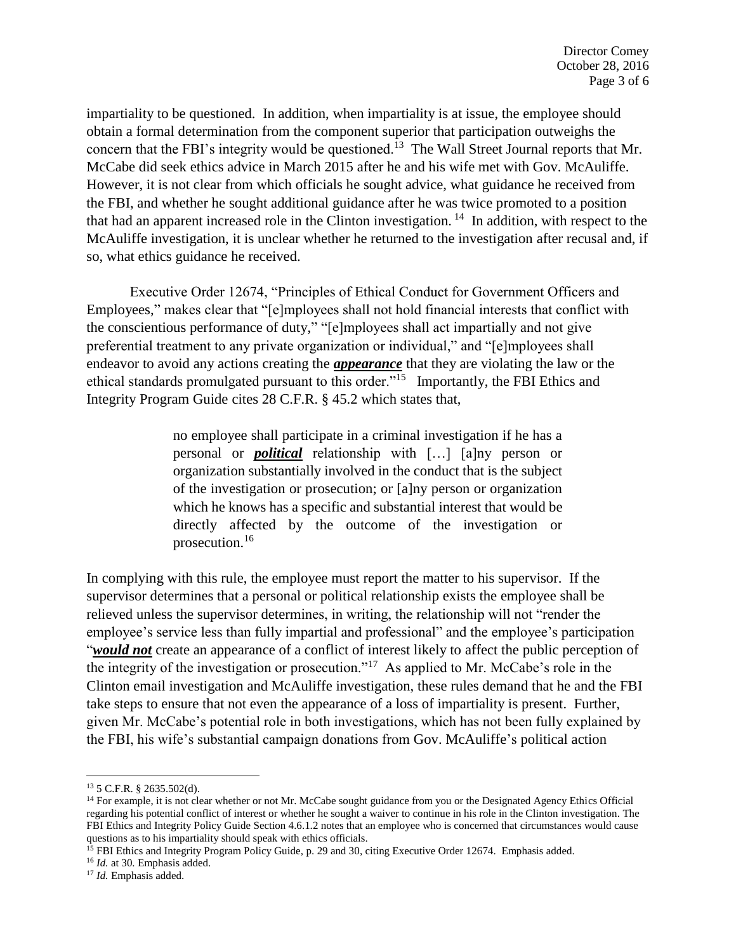impartiality to be questioned. In addition, when impartiality is at issue, the employee should obtain a formal determination from the component superior that participation outweighs the concern that the FBI's integrity would be questioned.<sup>13</sup> The Wall Street Journal reports that Mr. McCabe did seek ethics advice in March 2015 after he and his wife met with Gov. McAuliffe. However, it is not clear from which officials he sought advice, what guidance he received from the FBI, and whether he sought additional guidance after he was twice promoted to a position that had an apparent increased role in the Clinton investigation.  $14$  In addition, with respect to the McAuliffe investigation, it is unclear whether he returned to the investigation after recusal and, if so, what ethics guidance he received.

Executive Order 12674, "Principles of Ethical Conduct for Government Officers and Employees," makes clear that "[e]mployees shall not hold financial interests that conflict with the conscientious performance of duty," "[e]mployees shall act impartially and not give preferential treatment to any private organization or individual," and "[e]mployees shall endeavor to avoid any actions creating the *appearance* that they are violating the law or the ethical standards promulgated pursuant to this order."<sup>15</sup> Importantly, the FBI Ethics and Integrity Program Guide cites 28 C.F.R. § 45.2 which states that,

> no employee shall participate in a criminal investigation if he has a personal or *political* relationship with […] [a]ny person or organization substantially involved in the conduct that is the subject of the investigation or prosecution; or [a]ny person or organization which he knows has a specific and substantial interest that would be directly affected by the outcome of the investigation or prosecution.<sup>16</sup>

In complying with this rule, the employee must report the matter to his supervisor. If the supervisor determines that a personal or political relationship exists the employee shall be relieved unless the supervisor determines, in writing, the relationship will not "render the employee's service less than fully impartial and professional" and the employee's participation "*would not* create an appearance of a conflict of interest likely to affect the public perception of the integrity of the investigation or prosecution."<sup>17</sup> As applied to Mr. McCabe's role in the Clinton email investigation and McAuliffe investigation, these rules demand that he and the FBI take steps to ensure that not even the appearance of a loss of impartiality is present. Further, given Mr. McCabe's potential role in both investigations, which has not been fully explained by the FBI, his wife's substantial campaign donations from Gov. McAuliffe's political action

 $\overline{\phantom{a}}$ 

<sup>16</sup> *Id.* at 30. Emphasis added.

<sup>13</sup> 5 C.F.R. § 2635.502(d).

<sup>&</sup>lt;sup>14</sup> For example, it is not clear whether or not Mr. McCabe sought guidance from you or the Designated Agency Ethics Official regarding his potential conflict of interest or whether he sought a waiver to continue in his role in the Clinton investigation. The FBI Ethics and Integrity Policy Guide Section 4.6.1.2 notes that an employee who is concerned that circumstances would cause questions as to his impartiality should speak with ethics officials.

<sup>&</sup>lt;sup>15</sup> FBI Ethics and Integrity Program Policy Guide, p. 29 and 30, citing Executive Order 12674. Emphasis added.

<sup>&</sup>lt;sup>17</sup> *Id.* Emphasis added.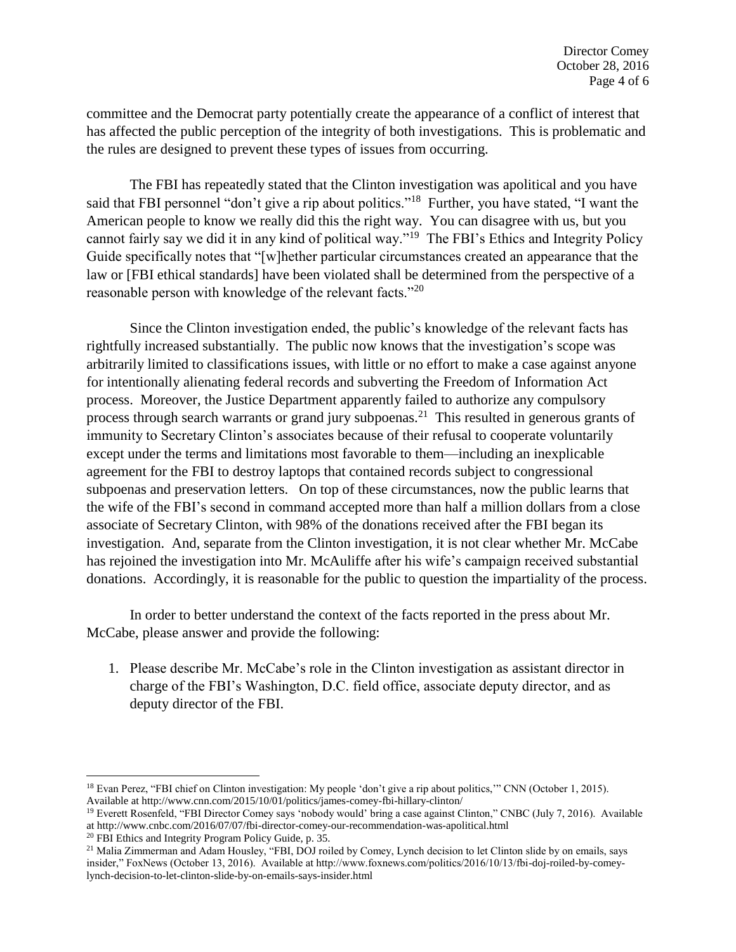committee and the Democrat party potentially create the appearance of a conflict of interest that has affected the public perception of the integrity of both investigations. This is problematic and the rules are designed to prevent these types of issues from occurring.

The FBI has repeatedly stated that the Clinton investigation was apolitical and you have said that FBI personnel "don't give a rip about politics."<sup>18</sup> Further, you have stated, "I want the American people to know we really did this the right way. You can disagree with us, but you cannot fairly say we did it in any kind of political way."<sup>19</sup> The FBI's Ethics and Integrity Policy Guide specifically notes that "[w]hether particular circumstances created an appearance that the law or [FBI ethical standards] have been violated shall be determined from the perspective of a reasonable person with knowledge of the relevant facts."<sup>20</sup>

Since the Clinton investigation ended, the public's knowledge of the relevant facts has rightfully increased substantially. The public now knows that the investigation's scope was arbitrarily limited to classifications issues, with little or no effort to make a case against anyone for intentionally alienating federal records and subverting the Freedom of Information Act process. Moreover, the Justice Department apparently failed to authorize any compulsory process through search warrants or grand jury subpoenas.<sup>21</sup> This resulted in generous grants of immunity to Secretary Clinton's associates because of their refusal to cooperate voluntarily except under the terms and limitations most favorable to them—including an inexplicable agreement for the FBI to destroy laptops that contained records subject to congressional subpoenas and preservation letters. On top of these circumstances, now the public learns that the wife of the FBI's second in command accepted more than half a million dollars from a close associate of Secretary Clinton, with 98% of the donations received after the FBI began its investigation. And, separate from the Clinton investigation, it is not clear whether Mr. McCabe has rejoined the investigation into Mr. McAuliffe after his wife's campaign received substantial donations. Accordingly, it is reasonable for the public to question the impartiality of the process.

In order to better understand the context of the facts reported in the press about Mr. McCabe, please answer and provide the following:

1. Please describe Mr. McCabe's role in the Clinton investigation as assistant director in charge of the FBI's Washington, D.C. field office, associate deputy director, and as deputy director of the FBI.

 $\overline{\phantom{a}}$ 

<sup>&</sup>lt;sup>18</sup> Evan Perez, "FBI chief on Clinton investigation: My people 'don't give a rip about politics,"" CNN (October 1, 2015). Available at http://www.cnn.com/2015/10/01/politics/james-comey-fbi-hillary-clinton/

<sup>&</sup>lt;sup>19</sup> Everett Rosenfeld, "FBI Director Comey says 'nobody would' bring a case against Clinton," CNBC (July 7, 2016). Available at http://www.cnbc.com/2016/07/07/fbi-director-comey-our-recommendation-was-apolitical.html

<sup>20</sup> FBI Ethics and Integrity Program Policy Guide, p. 35.

<sup>&</sup>lt;sup>21</sup> Malia Zimmerman and Adam Housley, "FBI, DOJ roiled by Comey, Lynch decision to let Clinton slide by on emails, says insider," FoxNews (October 13, 2016). Available at http://www.foxnews.com/politics/2016/10/13/fbi-doj-roiled-by-comeylynch-decision-to-let-clinton-slide-by-on-emails-says-insider.html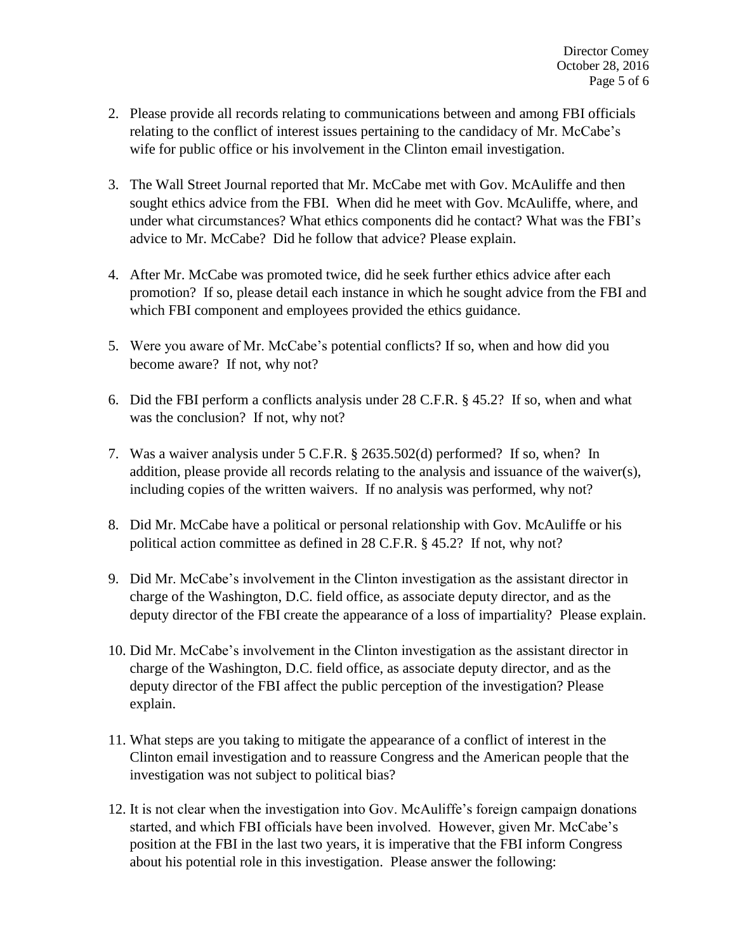- 2. Please provide all records relating to communications between and among FBI officials relating to the conflict of interest issues pertaining to the candidacy of Mr. McCabe's wife for public office or his involvement in the Clinton email investigation.
- 3. The Wall Street Journal reported that Mr. McCabe met with Gov. McAuliffe and then sought ethics advice from the FBI. When did he meet with Gov. McAuliffe, where, and under what circumstances? What ethics components did he contact? What was the FBI's advice to Mr. McCabe? Did he follow that advice? Please explain.
- 4. After Mr. McCabe was promoted twice, did he seek further ethics advice after each promotion? If so, please detail each instance in which he sought advice from the FBI and which FBI component and employees provided the ethics guidance.
- 5. Were you aware of Mr. McCabe's potential conflicts? If so, when and how did you become aware? If not, why not?
- 6. Did the FBI perform a conflicts analysis under 28 C.F.R. § 45.2? If so, when and what was the conclusion? If not, why not?
- 7. Was a waiver analysis under 5 C.F.R. § 2635.502(d) performed? If so, when? In addition, please provide all records relating to the analysis and issuance of the waiver(s), including copies of the written waivers. If no analysis was performed, why not?
- 8. Did Mr. McCabe have a political or personal relationship with Gov. McAuliffe or his political action committee as defined in 28 C.F.R. § 45.2? If not, why not?
- 9. Did Mr. McCabe's involvement in the Clinton investigation as the assistant director in charge of the Washington, D.C. field office, as associate deputy director, and as the deputy director of the FBI create the appearance of a loss of impartiality? Please explain.
- 10. Did Mr. McCabe's involvement in the Clinton investigation as the assistant director in charge of the Washington, D.C. field office, as associate deputy director, and as the deputy director of the FBI affect the public perception of the investigation? Please explain.
- 11. What steps are you taking to mitigate the appearance of a conflict of interest in the Clinton email investigation and to reassure Congress and the American people that the investigation was not subject to political bias?
- 12. It is not clear when the investigation into Gov. McAuliffe's foreign campaign donations started, and which FBI officials have been involved. However, given Mr. McCabe's position at the FBI in the last two years, it is imperative that the FBI inform Congress about his potential role in this investigation. Please answer the following: